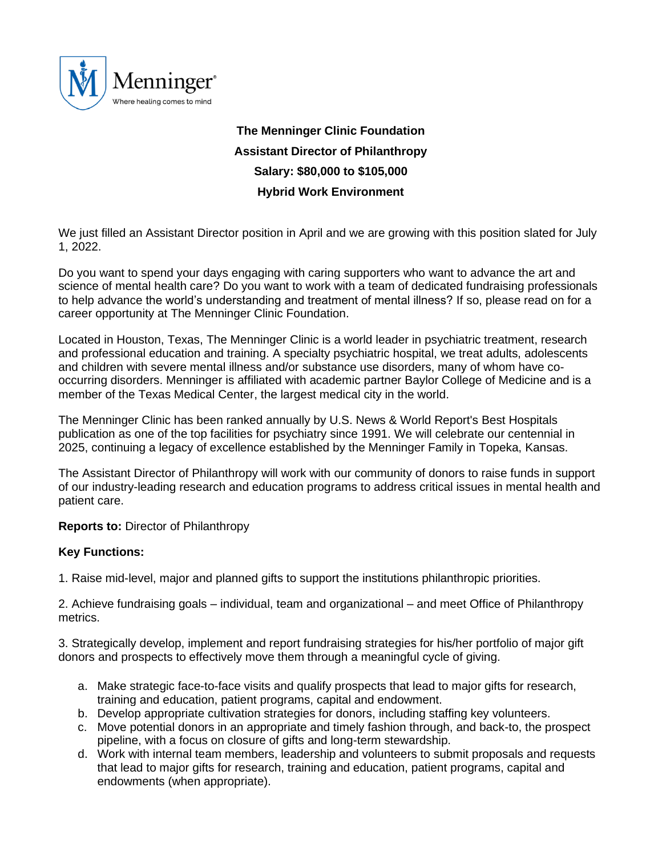

# **The Menninger Clinic Foundation Assistant Director of Philanthropy Salary: \$80,000 to \$105,000 Hybrid Work Environment**

We just filled an Assistant Director position in April and we are growing with this position slated for July 1, 2022.

Do you want to spend your days engaging with caring supporters who want to advance the art and science of mental health care? Do you want to work with a team of dedicated fundraising professionals to help advance the world's understanding and treatment of mental illness? If so, please read on for a career opportunity at The Menninger Clinic Foundation.

Located in Houston, Texas, The Menninger Clinic is a world leader in psychiatric treatment, research and professional education and training. A specialty psychiatric hospital, we treat adults, adolescents and children with severe mental illness and/or substance use disorders, many of whom have cooccurring disorders. Menninger is affiliated with academic partner Baylor College of Medicine and is a member of the Texas Medical Center, the largest medical city in the world.

The Menninger Clinic has been ranked annually by U.S. News & World Report's Best Hospitals publication as one of the top facilities for psychiatry since 1991. We will celebrate our centennial in 2025, continuing a legacy of excellence established by the Menninger Family in Topeka, Kansas.

The Assistant Director of Philanthropy will work with our community of donors to raise funds in support of our industry-leading research and education programs to address critical issues in mental health and patient care.

**Reports to:** Director of Philanthropy

# **Key Functions:**

1. Raise mid-level, major and planned gifts to support the institutions philanthropic priorities.

2. Achieve fundraising goals – individual, team and organizational – and meet Office of Philanthropy metrics.

3. Strategically develop, implement and report fundraising strategies for his/her portfolio of major gift donors and prospects to effectively move them through a meaningful cycle of giving.

- a. Make strategic face-to-face visits and qualify prospects that lead to major gifts for research, training and education, patient programs, capital and endowment.
- b. Develop appropriate cultivation strategies for donors, including staffing key volunteers.
- c. Move potential donors in an appropriate and timely fashion through, and back-to, the prospect pipeline, with a focus on closure of gifts and long-term stewardship.
- d. Work with internal team members, leadership and volunteers to submit proposals and requests that lead to major gifts for research, training and education, patient programs, capital and endowments (when appropriate).